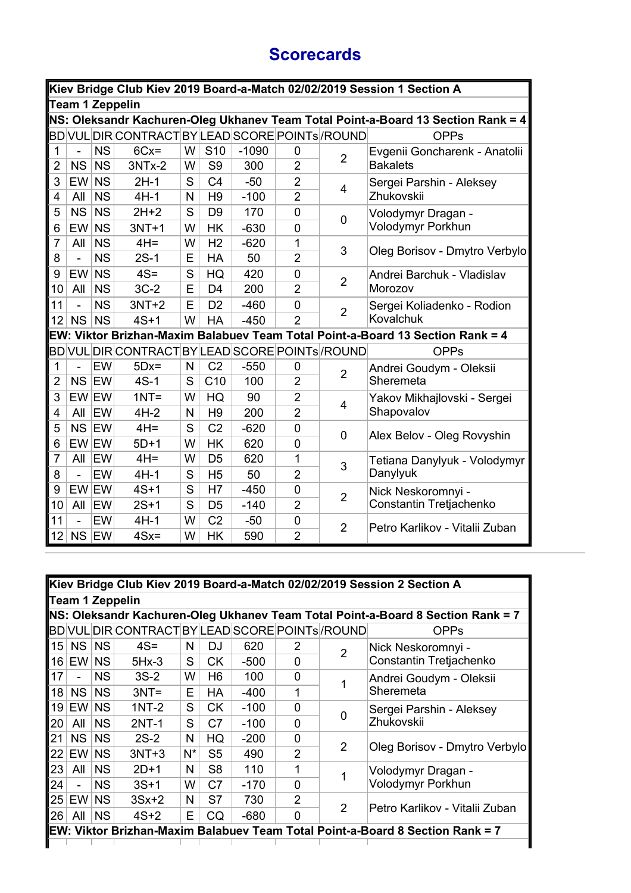## **Scorecards**

|                | Kiev Bridge Club Kiev 2019 Board-a-Match 02/02/2019 Session 1 Section A |           |                                                              |              |                 |         |                |                |                                                                                  |  |  |  |
|----------------|-------------------------------------------------------------------------|-----------|--------------------------------------------------------------|--------------|-----------------|---------|----------------|----------------|----------------------------------------------------------------------------------|--|--|--|
|                | <b>Team 1 Zeppelin</b>                                                  |           |                                                              |              |                 |         |                |                |                                                                                  |  |  |  |
|                |                                                                         |           |                                                              |              |                 |         |                |                | NS: Oleksandr Kachuren-Oleg Ukhanev Team Total Point-a-Board 13 Section Rank = 4 |  |  |  |
|                |                                                                         |           | BD VUL DIR CONTRACT BY LEAD SCORE POINTs <sup> </sup> /ROUND |              |                 |         |                |                | <b>OPPs</b>                                                                      |  |  |  |
| $\mathbf 1$    |                                                                         | <b>NS</b> | $6Cx =$                                                      | W            | S <sub>10</sub> | $-1090$ | 0              | $\overline{2}$ | Evgenii Goncharenk - Anatolii                                                    |  |  |  |
| $\overline{2}$ | <b>NS</b>                                                               | <b>NS</b> | 3NTx-2                                                       | W            | S <sub>9</sub>  | 300     | $\overline{2}$ |                | <b>Bakalets</b>                                                                  |  |  |  |
| 3              | EW <sup>I</sup>                                                         | <b>NS</b> | $2H-1$                                                       | S            | C <sub>4</sub>  | $-50$   | $\overline{2}$ | 4              | Sergei Parshin - Aleksey                                                         |  |  |  |
| 4              | All                                                                     | <b>NS</b> | $4H-1$                                                       | $\mathsf{N}$ | H <sub>9</sub>  | $-100$  | $\overline{2}$ |                | Zhukovskii                                                                       |  |  |  |
| 5              | <b>NS</b>                                                               | <b>NS</b> | $2H+2$                                                       | $\mathbf S$  | D <sub>9</sub>  | 170     | $\overline{0}$ | $\mathbf 0$    | Volodymyr Dragan -                                                               |  |  |  |
| 6              | EW                                                                      | <b>NS</b> | $3NT+1$                                                      | W            | <b>HK</b>       | $-630$  | $\overline{0}$ |                | Volodymyr Porkhun                                                                |  |  |  |
| $\overline{7}$ | All                                                                     | <b>NS</b> | $4H =$                                                       | W            | H <sub>2</sub>  | $-620$  | 1              | 3              | Oleg Borisov - Dmytro Verbylo                                                    |  |  |  |
| 8              | $\overline{a}$                                                          | <b>NS</b> | $2S-1$                                                       | E            | <b>HA</b>       | 50      | $\overline{2}$ |                |                                                                                  |  |  |  |
| 9              | EW                                                                      | <b>NS</b> | $4S =$                                                       | $\mathbf S$  | HQ              | 420     | $\mathbf 0$    | $\overline{2}$ | Andrei Barchuk - Vladislav                                                       |  |  |  |
| 10             | All                                                                     | <b>NS</b> | $3C-2$                                                       | E            | D <sub>4</sub>  | 200     | $\overline{2}$ |                | Morozov                                                                          |  |  |  |
| 11             | ä,                                                                      | <b>NS</b> | $3NT+2$                                                      | E            | D <sub>2</sub>  | $-460$  | 0              | $\overline{2}$ | Sergei Koliadenko - Rodion                                                       |  |  |  |
| 12             | <b>NS</b>                                                               | <b>NS</b> | $4S+1$                                                       | W            | <b>HA</b>       | $-450$  | $\overline{2}$ |                | Kovalchuk                                                                        |  |  |  |
|                |                                                                         |           |                                                              |              |                 |         |                |                | EW: Viktor Brizhan-Maxim Balabuev Team Total Point-a-Board 13 Section Rank = 4   |  |  |  |
|                |                                                                         |           | BD VUL DIR CONTRACT BY LEAD SCORE POINTs /ROUND              |              |                 |         |                |                | <b>OPPs</b>                                                                      |  |  |  |
| $\mathbf 1$    | ÷,                                                                      | EW        | $5Dx=$                                                       | N            | C <sub>2</sub>  | $-550$  | 0              | $\overline{2}$ | Andrei Goudym - Oleksii                                                          |  |  |  |
| $\overline{2}$ | NS EW                                                                   |           | $4S-1$                                                       | S            | C10             | 100     | $\overline{2}$ |                | Sheremeta                                                                        |  |  |  |
| 3              | EW EW                                                                   |           | $1NT =$                                                      | W            | HQ              | 90      | $\overline{2}$ | 4              | Yakov Mikhajlovski - Sergei                                                      |  |  |  |
| 4              | All                                                                     | <b>EW</b> | $4H-2$                                                       | N            | H <sub>9</sub>  | 200     | $\overline{2}$ |                | Shapovalov                                                                       |  |  |  |
| 5              | NS EW                                                                   |           | $4H =$                                                       | S            | C <sub>2</sub>  | $-620$  | $\mathbf 0$    | 0              | Alex Belov - Oleg Rovyshin                                                       |  |  |  |
| 6              | EW EW                                                                   |           | $5D+1$                                                       | W            | <b>HK</b>       | 620     | 0              |                |                                                                                  |  |  |  |
| $\overline{7}$ | All                                                                     | EW        | $4H =$                                                       | W            | D <sub>5</sub>  | 620     | 1              | 3              | Tetiana Danylyuk - Volodymyr                                                     |  |  |  |
| 8              |                                                                         | EW        | $4H-1$                                                       | S            | H <sub>5</sub>  | 50      | $\overline{2}$ |                | Danylyuk                                                                         |  |  |  |
| 9              | EW EW                                                                   |           | $4S+1$                                                       | S            | H7              | $-450$  | 0              | $\overline{2}$ | Nick Neskoromnyi -                                                               |  |  |  |
| 10             | All                                                                     | EW        | $2S+1$                                                       | S            | D <sub>5</sub>  | $-140$  | $\overline{2}$ |                | Constantin Tretjachenko                                                          |  |  |  |
| 11             | $\overline{a}$                                                          | EW        | $4H-1$                                                       | W            | C <sub>2</sub>  | $-50$   | $\mathbf 0$    | $\overline{2}$ | Petro Karlikov - Vitalii Zuban                                                   |  |  |  |
| 12             | NS EW                                                                   |           | $4Sx =$                                                      | W            | <b>HK</b>       | 590     | $\overline{2}$ |                |                                                                                  |  |  |  |

|    |                |           |                                                  |       |                |        |                |                | Kiev Bridge Club Kiev 2019 Board-a-Match 02/02/2019 Session 2 Section A         |
|----|----------------|-----------|--------------------------------------------------|-------|----------------|--------|----------------|----------------|---------------------------------------------------------------------------------|
|    |                |           | Team 1 Zeppelin                                  |       |                |        |                |                |                                                                                 |
|    |                |           |                                                  |       |                |        |                |                | NS: Oleksandr Kachuren-Oleg Ukhanev Team Total Point-a-Board 8 Section Rank = 7 |
|    |                |           | BD VUL DIR CONTRACT BY LEAD SCORE POINTS / ROUND |       |                |        |                |                | <b>OPPs</b>                                                                     |
| 15 | NS             | <b>NS</b> | $4S =$                                           | N     | DJ             | 620    | 2              | $\mathfrak{p}$ | Nick Neskoromnyi -                                                              |
| 16 | EW             | <b>NS</b> | $5Hx-3$                                          | S     | <b>CK</b>      | $-500$ | $\Omega$       |                | Constantin Tretjachenko                                                         |
| 17 |                | NS.       | $3S-2$                                           | W     | H6             | 100    | $\Omega$       |                | Andrei Goudym - Oleksii                                                         |
| 18 | NS.            | <b>NS</b> | $3NT =$                                          | Е     | <b>HA</b>      | $-400$ | 1              |                | Sheremeta                                                                       |
| 19 | EW I           | <b>NS</b> | $1NT-2$                                          | S     | <b>CK</b>      | $-100$ | 0              |                | Sergei Parshin - Aleksey                                                        |
| 20 | All            | <b>NS</b> | $2NT-1$                                          | S     | C <sub>7</sub> | $-100$ | O              | 0              | Zhukovskii                                                                      |
| 21 | NS             | <b>NS</b> | $2S-2$                                           | N     | HQ             | $-200$ | 0              |                |                                                                                 |
| 22 | EW I           | <b>NS</b> | $3NT+3$                                          | $N^*$ | S <sub>5</sub> | 490    | $\mathfrak{p}$ | 2              | Oleg Borisov - Dmytro Verbylo                                                   |
| 23 | All            | <b>NS</b> | $2D+1$                                           | N     | S <sub>8</sub> | 110    |                |                | Volodymyr Dragan -                                                              |
| 24 | $\blacksquare$ | <b>NS</b> | $3S+1$                                           | W     | C <sub>7</sub> | $-170$ | 0              |                | Volodymyr Porkhun                                                               |
| 25 | EW I           | <b>NS</b> | $3Sx+2$                                          | N     | S7             | 730    | $\overline{2}$ |                |                                                                                 |
| 26 | All            | <b>NS</b> | $4S+2$                                           | Е     | <b>CQ</b>      | $-680$ | $\Omega$       | $\overline{2}$ | lPetro Karlikov - Vitalii Zuban                                                 |
|    |                |           |                                                  |       |                |        |                |                | EW: Viktor Brizhan-Maxim Balabuev Team Total Point-a-Board 8 Section Rank = 7   |
|    |                |           |                                                  |       |                |        |                |                |                                                                                 |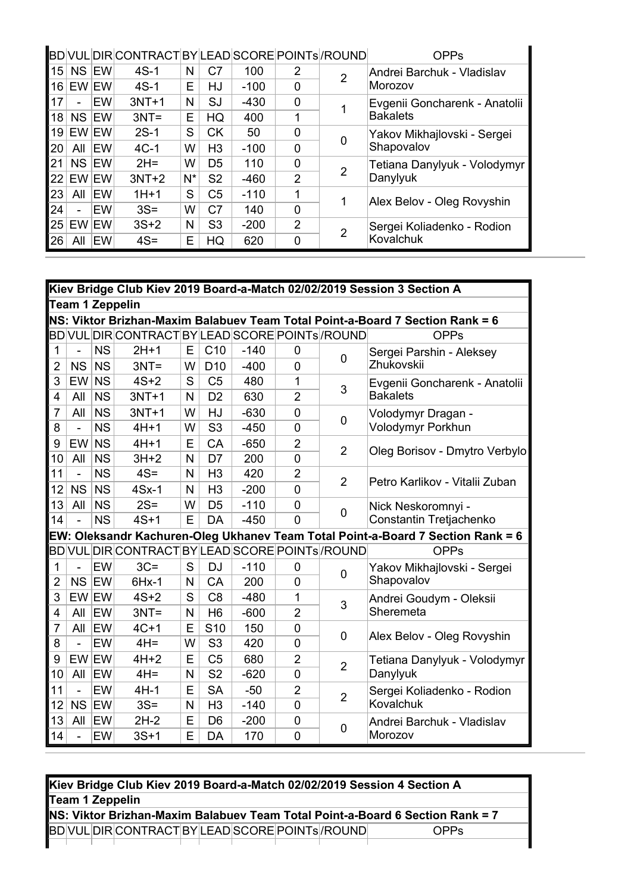|                 |           |            | BDVULDIRCONTRACTBYLEADSCOREPOINTs//ROUND |       |                |        |                |   | <b>OPPs</b>                   |
|-----------------|-----------|------------|------------------------------------------|-------|----------------|--------|----------------|---|-------------------------------|
| 15              | <b>NS</b> | <b>IEW</b> | $4S-1$                                   | N     | C7             | 100    | 2              | 2 | Andrei Barchuk - Vladislav    |
| 16              | EW EW     |            | $4S-1$                                   | E     | HJ             | $-100$ | $\Omega$       |   | Morozov                       |
| 17              |           | EW         | $3NT+1$                                  | N     | SJ             | $-430$ | $\mathbf 0$    |   | Evgenii Goncharenk - Anatolii |
| 18              | <b>NS</b> | <b>IEW</b> | $3NT =$                                  | E     | HQ             | 400    | 1              |   | <b>Bakalets</b>               |
| 19 <sup>1</sup> | EW EW     |            | $2S-1$                                   | S     | <b>CK</b>      | 50     | $\Omega$       |   | Yakov Mikhajlovski - Sergei   |
| 20              | All       | <b>EW</b>  | $4C-1$                                   | W     | H <sub>3</sub> | $-100$ | 0              |   | Shapovalov                    |
| 21              | <b>NS</b> | <b>IEW</b> | $2H =$                                   | W     | D <sub>5</sub> | 110    | $\Omega$       |   | Tetiana Danylyuk - Volodymyr  |
| 22              | EW EW     |            | $3NT+2$                                  | $N^*$ | S <sub>2</sub> | $-460$ | $\mathcal{P}$  | 2 | Danylyuk                      |
| 23              | All       | <b>EW</b>  | $1H+1$                                   | S     | C <sub>5</sub> | $-110$ | 1              |   | Alex Belov - Oleg Rovyshin    |
| 24              |           | EW         | $3S =$                                   | W     | C <sub>7</sub> | 140    | $\Omega$       |   |                               |
| 25              | EW EW     |            | $3S+2$                                   | N     | S <sub>3</sub> | $-200$ | $\overline{2}$ |   | Sergei Koliadenko - Rodion    |
| 26              | All       | EW         | $4S =$                                   | E     | HQ             | 620    | 0              |   | Kovalchuk                     |

|                | Kiev Bridge Club Kiev 2019 Board-a-Match 02/02/2019 Session 3 Section A |           |                                                  |   |                 |        |                |                |                                                                                 |  |  |
|----------------|-------------------------------------------------------------------------|-----------|--------------------------------------------------|---|-----------------|--------|----------------|----------------|---------------------------------------------------------------------------------|--|--|
|                |                                                                         |           | <b>Team 1 Zeppelin</b>                           |   |                 |        |                |                |                                                                                 |  |  |
|                |                                                                         |           |                                                  |   |                 |        |                |                | NS: Viktor Brizhan-Maxim Balabuev Team Total Point-a-Board 7 Section Rank = 6   |  |  |
|                |                                                                         |           | BD VUL DIR CONTRACT BY LEAD SCORE POINTS / ROUND |   |                 |        |                |                | <b>OPPs</b>                                                                     |  |  |
| $\mathbf{1}$   | $\overline{a}$                                                          | <b>NS</b> | $2H+1$                                           | Е | C <sub>10</sub> | $-140$ | $\mathbf 0$    | 0              | Sergei Parshin - Aleksey                                                        |  |  |
| $\overline{2}$ | <b>NS</b>                                                               | <b>NS</b> | $3NT =$                                          | W | D <sub>10</sub> | $-400$ | $\Omega$       |                | Zhukovskii                                                                      |  |  |
| 3              | <b>EW</b>                                                               | <b>NS</b> | $4S+2$                                           | S | C <sub>5</sub>  | 480    | 1              | 3              | Evgenii Goncharenk - Anatolii                                                   |  |  |
| 4              | All                                                                     | <b>NS</b> | $3NT+1$                                          | N | D <sub>2</sub>  | 630    | $\overline{2}$ |                | <b>Bakalets</b>                                                                 |  |  |
| 7              | All                                                                     | <b>NS</b> | $3NT+1$                                          | W | HJ              | $-630$ | $\Omega$       | 0              | Volodymyr Dragan -                                                              |  |  |
| 8              | ÷,                                                                      | <b>NS</b> | $4H+1$                                           | W | S <sub>3</sub>  | $-450$ | $\overline{0}$ |                | Volodymyr Porkhun                                                               |  |  |
| 9              | <b>EW</b>                                                               | <b>NS</b> | $4H+1$                                           | E | CA              | $-650$ | $\overline{2}$ | $\overline{2}$ | Oleg Borisov - Dmytro Verbylo                                                   |  |  |
| 10             | All                                                                     | <b>NS</b> | $3H+2$                                           | N | D7              | 200    | $\overline{0}$ |                |                                                                                 |  |  |
| 11             | ÷,                                                                      | <b>NS</b> | $4S =$                                           | N | H <sub>3</sub>  | 420    | $\overline{2}$ | $\overline{2}$ | Petro Karlikov - Vitalii Zuban                                                  |  |  |
| 12             | <b>NS</b>                                                               | <b>NS</b> | $4Sx-1$                                          | N | H <sub>3</sub>  | $-200$ | $\overline{0}$ |                |                                                                                 |  |  |
| 13             | All                                                                     | <b>NS</b> | $2S =$                                           | W | D <sub>5</sub>  | $-110$ | $\overline{0}$ | 0              | Nick Neskoromnyi -                                                              |  |  |
| 14             | $\overline{a}$                                                          | <b>NS</b> | $4S+1$                                           | E | DA              | $-450$ | $\overline{0}$ |                | Constantin Tretjachenko                                                         |  |  |
|                |                                                                         |           |                                                  |   |                 |        |                |                | EW: Oleksandr Kachuren-Oleg Ukhanev Team Total Point-a-Board 7 Section Rank = 6 |  |  |
|                |                                                                         |           | BD VUL DIR CONTRACT BY LEAD SCORE POINTs /ROUND  |   |                 |        |                |                | <b>OPPs</b>                                                                     |  |  |
| 1              |                                                                         | EW        | $3C =$                                           | S | <b>DJ</b>       | $-110$ | 0              | 0              | Yakov Mikhajlovski - Sergei                                                     |  |  |
| 2              | NS                                                                      | EW        | $6Hx-1$                                          | N | CA              | 200    | $\overline{0}$ |                | Shapovalov                                                                      |  |  |
| 3              | EW EW                                                                   |           | $4S+2$                                           | S | C <sub>8</sub>  | $-480$ | 1              | 3              | Andrei Goudym - Oleksii                                                         |  |  |
| 4              | All                                                                     | EW        | $3NT =$                                          | N | H <sub>6</sub>  | $-600$ | $\overline{2}$ |                | Sheremeta                                                                       |  |  |
| $\overline{7}$ | All                                                                     | EW        | $4C+1$                                           | E | S <sub>10</sub> | 150    | $\overline{0}$ | 0              | Alex Belov - Oleg Rovyshin                                                      |  |  |
| 8              | ÷,                                                                      | EW        | $4H =$                                           | W | S <sub>3</sub>  | 420    | $\overline{0}$ |                |                                                                                 |  |  |
| 9              | EW EW                                                                   |           | $4H+2$                                           | E | C <sub>5</sub>  | 680    | $\overline{2}$ | $\overline{2}$ | Tetiana Danylyuk - Volodymyr                                                    |  |  |
| 10             | All                                                                     | EW        | $4H =$                                           | N | S <sub>2</sub>  | $-620$ | $\overline{0}$ |                | Danylyuk                                                                        |  |  |
| 11             | ÷,                                                                      | EW        | $4H-1$                                           | Ε | <b>SA</b>       | $-50$  | $\overline{2}$ | $\overline{2}$ | Sergei Koliadenko - Rodion                                                      |  |  |
| 12             | NS                                                                      | EW        | $3S =$                                           | N | H <sub>3</sub>  | $-140$ | $\overline{0}$ |                | Kovalchuk                                                                       |  |  |
| 13             | All                                                                     | EW        | $2H-2$                                           | E | D <sub>6</sub>  | $-200$ | $\overline{0}$ | 0              | Andrei Barchuk - Vladislav                                                      |  |  |
| 14             | ÷,                                                                      | EW        | $3S+1$                                           | E | DA              | 170    | $\overline{0}$ |                | Morozov                                                                         |  |  |

| Kiev Bridge Club Kiev 2019 Board-a-Match 02/02/2019 Session 4 Section A       |  |  |  |  |  |  |  |                                         |      |  |
|-------------------------------------------------------------------------------|--|--|--|--|--|--|--|-----------------------------------------|------|--|
| Team 1 Zeppelin                                                               |  |  |  |  |  |  |  |                                         |      |  |
| NS: Viktor Brizhan-Maxim Balabuev Team Total Point-a-Board 6 Section Rank = 7 |  |  |  |  |  |  |  |                                         |      |  |
|                                                                               |  |  |  |  |  |  |  | BDVULDIRCONTRACTBYLEADSCOREPOINTS/ROUND | OPPS |  |
|                                                                               |  |  |  |  |  |  |  |                                         |      |  |

L